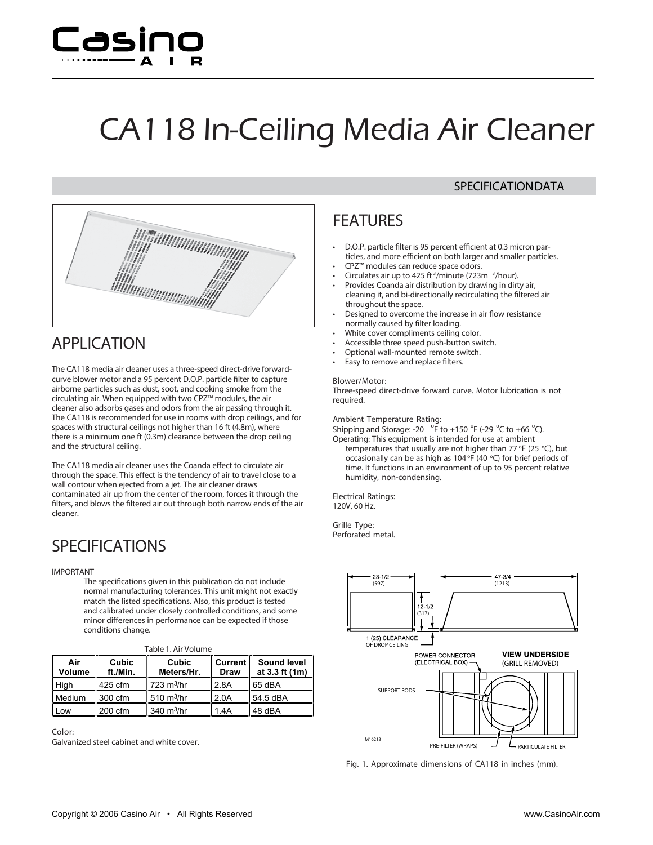

# CA118 In-Ceiling Media Air Cleaner



### **APPLICATION**

The CA118 media air cleaner uses a three-speed direct-drive forwardcurve blower motor and a 95 percent D.O.P. particle filter to capture airborne particles such as dust, soot, and cooking smoke from the circulating air. When equipped with two CPZ™ modules, the air cleaner also adsorbs gases and odors from the air passing through it. The CA118 is recommended for use in rooms with drop ceilings, and for spaces with structural ceilings not higher than 16 ft (4.8m), where there is a minimum one ft (0.3m) clearance between the drop ceiling and the structural ceiling.

The CA118 media air cleaner uses the Coanda effect to circulate air through the space. This effect is the tendency of air to travel close to a wall contour when ejected from a jet. The air cleaner draws contaminated air up from the center of the room, forces it through the filters, and blows the filtered air out through both narrow ends of the air cleaner.

### **SPECIFICATIONS**

#### *IMPORTANT*

*The specications given in this publication do not include normal manufacturing tolerances. This unit might not exactly*  $m$  *match* the listed specifications. Also, this product is tested *and calibrated under closely controlled conditions, and some minor dierences in performance can be expected if those conditions change.*

| Table 1. Air Volume |                   |                             |                               |                                      |
|---------------------|-------------------|-----------------------------|-------------------------------|--------------------------------------|
| Air<br>Volume       | Cubic<br>ft./Min. | Cubic<br>Meters/Hr.         | <b>Current</b><br><b>Draw</b> | <b>Sound level</b><br>at 3.3 ft (1m) |
| High                | 425 cfm           | $723 \text{ m}^3/\text{hr}$ | 2.8A                          | 65 dBA                               |
| Medium              | 300 cfm           | l 510 m <sup>3</sup> /hr    | 2.0A                          | l 54.5 dBA                           |
| Low                 | 200 cfm           | $340 \text{ m}^3/\text{hr}$ | 1.4A                          | 48 dBA                               |

**Color:** Galvanized steel cabinet and white cover.

### **SPECIFICATIONDATA**

## **FEATURES**

- **• D.O.P. particle lter is 95 percent ecient at 0.3 micron particles, and more ecient on both larger and smaller particles.**
- **• CPZ™ modules can reduce space odors.**
- **• Circulates air up to 425 ft <sup>3</sup> /minute (723m <sup>3</sup> /hour).**
- **• Provides Coanda air distribution by drawing in dirty air, cleaning it, and bi-directionally recirculating the ltered air throughout the space.**
- **• Designed to overcome the increase in air ow resistance normally caused by lter loading.**
- **• White cover compliments ceiling color.**
- **• Accessible three speed push-button switch.**
- **• Optional wall-mounted remote switch.**
- **• Easy to remove and replace lters.**

#### **Blower/Motor:**

Three-speed direct-drive forward curve. Motor lubrication is not required.

#### **Ambient Temperature Rating:**

Shipping and Storage: -20  $\degree$ F to +150  $\degree$ F (-29  $\degree$ C to +66  $\degree$ C). Operating: This equipment is intended for use at ambient

temperatures that usually are not higher than 77 °F (25 °C), but occasionally can be as high as  $104$  °F (40 °C) for brief periods of time. It functions in an environment of up to 95 percent relative humidity, non-condensing.

**Electrical Ratings:** 120V, 60 Hz.

**Grille Type:** Perforated metal.



**Fig. 1. Approximate dimensions of CA118 in inches (mm).**